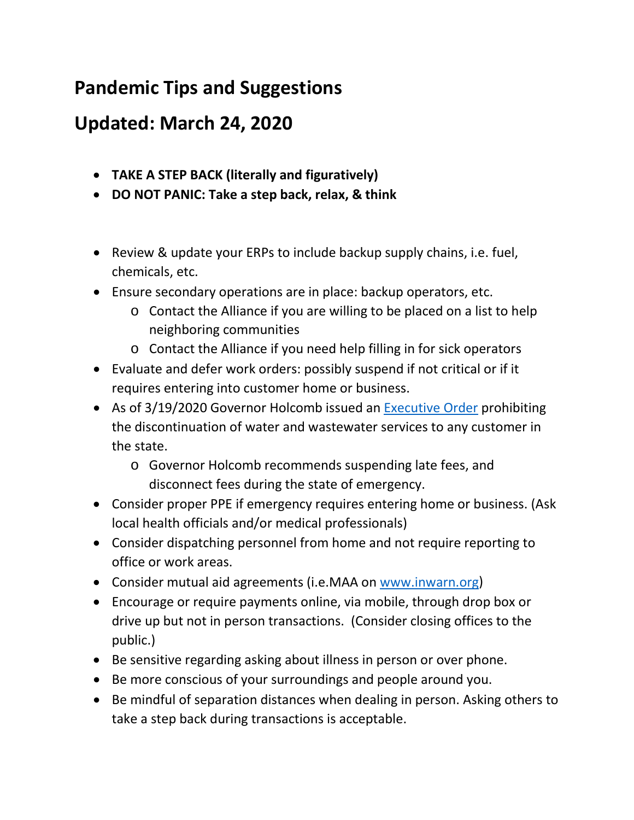## **Pandemic Tips and Suggestions**

## **Updated: March 24, 2020**

- **TAKE A STEP BACK (literally and figuratively)**
- **DO NOT PANIC: Take a step back, relax, & think**
- Review & update your ERPs to include backup supply chains, i.e. fuel, chemicals, etc.
- Ensure secondary operations are in place: backup operators, etc.
	- o Contact the Alliance if you are willing to be placed on a list to help neighboring communities
	- o Contact the Alliance if you need help filling in for sick operators
- Evaluate and defer work orders: possibly suspend if not critical or if it requires entering into customer home or business.
- As of 3/19/2020 Governor Holcomb issued an [Executive Order](https://www.inh2o.org/Portals/36/Documents/COVID-19/GovernorEO_20-05-3-19-20.pdf?ver=2020-03-19-170717-147) prohibiting the discontinuation of water and wastewater services to any customer in the state.
	- o Governor Holcomb recommends suspending late fees, and disconnect fees during the state of emergency.
- Consider proper PPE if emergency requires entering home or business. (Ask local health officials and/or medical professionals)
- Consider dispatching personnel from home and not require reporting to office or work areas.
- Consider mutual aid agreements (i.e.MAA on [www.inwarn.org\)](http://www.inwarn.org/)
- Encourage or require payments online, via mobile, through drop box or drive up but not in person transactions. (Consider closing offices to the public.)
- Be sensitive regarding asking about illness in person or over phone.
- Be more conscious of your surroundings and people around you.
- Be mindful of separation distances when dealing in person. Asking others to take a step back during transactions is acceptable.